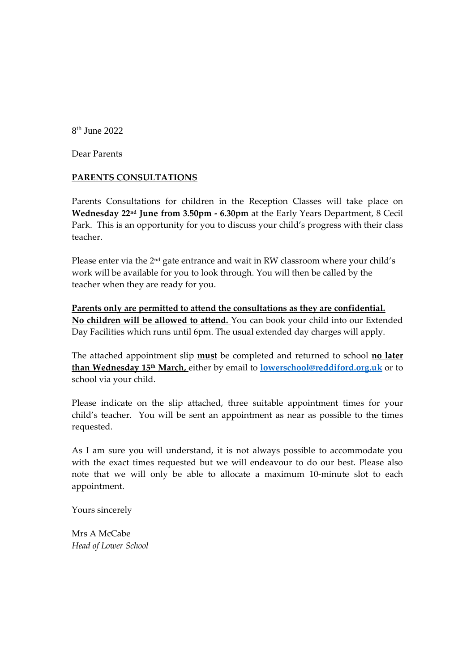8 th June 2022

Dear Parents

#### **PARENTS CONSULTATIONS**

Parents Consultations for children in the Reception Classes will take place on **Wednesday 22nd June from 3.50pm - 6.30pm** at the Early Years Department, 8 Cecil Park.This is an opportunity for you to discuss your child's progress with their class teacher.

Please enter via the 2<sup>nd</sup> gate entrance and wait in RW classroom where your child's work will be available for you to look through. You will then be called by the teacher when they are ready for you.

**Parents only are permitted to attend the consultations as they are confidential. No children will be allowed to attend.** You can book your child into our Extended Day Facilities which runs until 6pm. The usual extended day charges will apply.

The attached appointment slip **must** be completed and returned to school **no later than Wednesday 15th March,** either by email to **[lowerschool@reddiford.org.uk](mailto:lowerschool@reddiford.org.uk)** or to school via your child.

Please indicate on the slip attached, three suitable appointment times for your child's teacher. You will be sent an appointment as near as possible to the times requested.

As I am sure you will understand, it is not always possible to accommodate you with the exact times requested but we will endeavour to do our best. Please also note that we will only be able to allocate a maximum 10-minute slot to each appointment.

Yours sincerely

Mrs A McCabe *Head of Lower School*